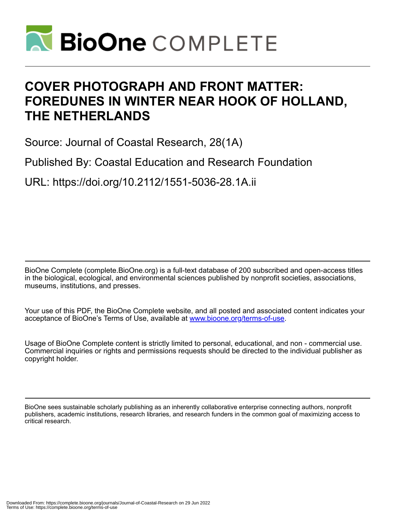

# **COVER PHOTOGRAPH AND FRONT MATTER: FOREDUNES IN WINTER NEAR HOOK OF HOLLAND, THE NETHERLANDS**

Source: Journal of Coastal Research, 28(1A)

Published By: Coastal Education and Research Foundation

URL: https://doi.org/10.2112/1551-5036-28.1A.ii

BioOne Complete (complete.BioOne.org) is a full-text database of 200 subscribed and open-access titles in the biological, ecological, and environmental sciences published by nonprofit societies, associations, museums, institutions, and presses.

Your use of this PDF, the BioOne Complete website, and all posted and associated content indicates your acceptance of BioOne's Terms of Use, available at www.bioone.org/terms-of-use.

Usage of BioOne Complete content is strictly limited to personal, educational, and non - commercial use. Commercial inquiries or rights and permissions requests should be directed to the individual publisher as copyright holder.

BioOne sees sustainable scholarly publishing as an inherently collaborative enterprise connecting authors, nonprofit publishers, academic institutions, research libraries, and research funders in the common goal of maximizing access to critical research.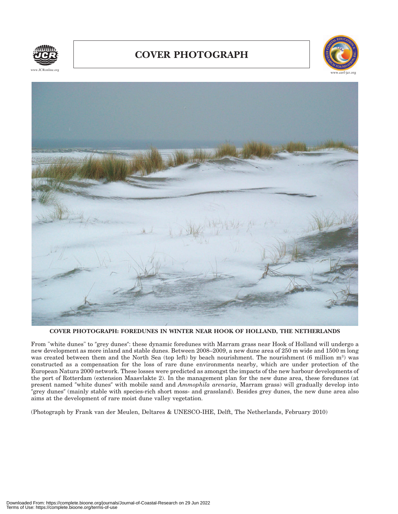

# COVER PHOTOGRAPH



COVER PHOTOGRAPH: FOREDUNES IN WINTER NEAR HOOK OF HOLLAND, THE NETHERLANDS

From "white dunes" to "grey dunes": these dynamic foredunes with Marram grass near Hook of Holland will undergo a new development as more inland and stable dunes. Between 2008–2009, a new dune area of 250 m wide and 1500 m long was created between them and the North Sea (top left) by beach nourishment. The nourishment  $(6 \text{ million } m^3)$  was constructed as a compensation for the loss of rare dune environments nearby, which are under protection of the European Natura 2000 network. These losses were predicted as amongst the impacts of the new harbour developments of the port of Rotterdam (extension Maasvlakte 2). In the management plan for the new dune area, these foredunes (at present named "white dunes" with mobile sand and Ammophila arenaria, Marram grass) will gradually develop into "grey dunes" (mainly stable with species-rich short moss- and grassland). Besides grey dunes, the new dune area also aims at the development of rare moist dune valley vegetation.

(Photograph by Frank van der Meulen, Deltares & UNESCO-IHE, Delft, The Netherlands, February 2010)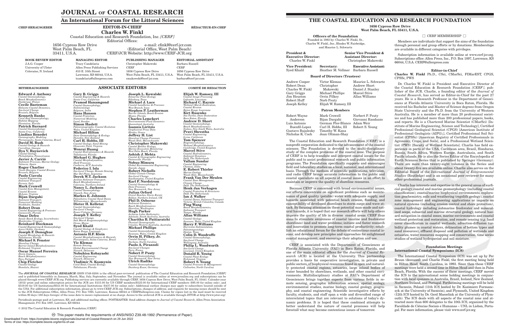# **JOURNAL OF COASTAL RESEARCH**

## **An International Forum for the Littoral Sciences**

J.A.G. Cooper University of Ulster Coleraine, N. Ireland

**BOOK REVIEW EDITOR**

# **CHEF-HERAUSGEBER EDITOR-IN-CHIEF RÉDACTEUR-EN-CHEF Charles W. Finkl**

Coastal Education and Research Foundation, Inc. *[CERF]* Editorial Offices:

**MANAGING EDITOR** Tracy Candelaria

810 E. 10th Street Lawrence, KS 66044, U.S.A. tcandelaria@allenpress.com

Allen Press Publishing Services

1656 Cypress Row Drive e-mail: cfinkl@cerf-jcr.com<br>West Palm Beach, FL (Editorial Office, West Palm Beach) West Palm Beach, FL (Editorial Office, West Palm Beach)<br>
33411, U.S.A. (CERF/JCR Website: http://www.CERF-JCR.org 33411, U.S.A. CERF/JCR Website: http://www.CERF-JCR.org

> **PUBLISHING MANAGER** Christopher Makowski CERF 1656 Cypress Row Drive West Palm Beach, FL 33411, U.S.A. cmakowski@cerf-jcr.com

**EDITORIAL ASSISTANT** Barbara Russell CERF 1656 Cypress Row Drive West Palm Beach, FL 33411, U.S.A. barbara@cerf-jcr.com

### **MITHERAUSGEBER ASSOCIATE EDITORS COMITÉ DE REDACTION**

**Edward J. Anthony** *Coastal Geomorphology, Beach Morphodynamics Dunkerque, France* **Cecile Baeteman** *Holocene Coastal Dynamics, Sea-Level Change Brussels, Belgium* **Kenneth Banks** *Coral Reef Geomorphology, Habitat Mapping Plantation, Florida* **Patrick Barnard** *Coastal Geomorphology Santa Cruz, California* **Lindino Benedet** *Oceanography, Modeling Florianopolis, Santa Catarina, Brazil* **David M. Bush** *Coastal Geology & Hazards Carrollton, Georgia* **Ilya V. Buynevich** *Coastal Geology Philadelphia, Pennsylvania* **Javier A. Carrió** *Sediment Processes, Marine Geology Valencia, Spain* **Roger Charlier** Ocean Energies, Coastal Erosion<br>Brussels, Belgium<br>**Paolo Ciavola**<br>Coastal Engineering,<br>Sediment Transport<br>Ferrara, Italy<br>**Mark Crowell**<br>Coastal Erosion<br>Coastal Erosion *McLean, Virginia* **Bijan Dargahi** *Sediment Transport, Numerical Modeling Stockholm, Sweden* **Robert Dean** *Coastal Engineering & Processes Gainesville, Florida* **Omar Defeo** *Sandy Beach Ecology, Invertebrates Montevideo, Uruguay* **Reinhard Dieckman** *Coastal Engineering & Geomorphology Arnis/Schlei, Germany* **Joseph F. Donoghue** *Coastal Morphology & Hazards Tallahassee, Florida* **Michael S. Fenster** *Shoreline Change, Barrier Island Morphodynamics Richmond, Virginia* **Oscar Manuel Ferreira** *Storm Impacts, Beach Morphodynamics Faro, Portugal* **Chip Fletcher** *Coastal Geology Honolulu, Hawaii*

**Gary B. Griggs** *Coastal Engineering & Hazards Santa Cruz, California* **Pramod Hanamgond** *Coastal Geomorphology, Sedimentology Belgaum, India* **Hans Hanson** *Coastal Protection, Numerical Modeling Lund, Sweden* **Simon Haslett** *Paleoceanography, Coastal Evolution Wales, United Kingdom* **Michael Hilton** *Dune Geomorphology & Ecology Dunedin, New Zealand* **Carl H. Hobbs, III** *Coastal Geology, Sand Mining Gloucester Point, Virginia* **Wenrui Huang** *Coastal Hydrodynamics & Hazards Tallahassee, Florida* **Michael G. Hughes** *Coastal Morphodynamics, Shelf Processes Canberra, ACT, Australia* **Federico I. Isla** *Sea-Level Change, Remote Sensing Mar Del Plata, Argentina* **Derek W.T. Jackson** *Aeolian Sediment Transport, Beach Morphodynamics Coleraine, Northern Ireland* **Nancy L. Jackson** *Coastal Geomorphology Newark, New Jersey* **Markes E. Johnson** *Paleoshores, Coastal Sand Dunes Williamstown, Massachusetts* **Dieter H. Kelletat** *Coastal Geomorphology, Sea-Level Change Essen/Cologne, Germany* **Joseph T. Kelley** *Sea-Level Change, Salt Marsh Ecogeomorphology Orono, Maine* **Syed Khalil** *Coastal Geology & Geophysics Baton Rouge, Louisiana* **Antonio H.F. Klein** *Coastal Morphodynamics & Hazards Florianópolis, Santa Catarina, Brazil* **Vic Klemas** *Remote Sensing, Global Environmental Change Newark, Delaware* **Nobuhisa Kobayashi**

*Coastal Engineering Newark, Delaware* **Vladimir N. Kosmynin** *Coral Reefs, Coastal Ecology Tallahassee, Florida*

**Joseph L. Kowalski** *Estuarine Plant Ecology Edinburg, Texas* **Michael J. Lace** *Coastal Landforms & Processes West Branch, Iowa* **Stephen P. Leatherman** *Barrier Islands, Beach Erosion Miami, Florida* **Charles Lemckert** *Environmental Fluid Dynamics Queensland, Australia* **Ioannis Liritzis** *Geophysical Proxy Data Rhodes, Greece* **Jeffrey H. List** *Shoreline Change Processes Woods Hole, Massachusetts* **Christopher Makowski** *Coastal Benthic Ecology, Marine Ecosystem Monitoring West Palm Beach, Florida* **Ashish J. Mehta** *Coastal & Ocenographic Engineering Gainesville, Florida* **Nobuo Mimura** *Global Environmental Engineering Ibaraki, Japan* **Robert Nicholls** *Global Climate Change, Sea-Level Change Southampton, United Kingdom* **Karl F. Nordstrom** *Coastal Geomorphology & Dune Processes New Brunswick, New Jersey* **Julian Orford** *Gravel Beaches, Storm Events Belfast, Northern Ireland, UK* **Phil D. Osborne** *Sediment Dynamics, Beach Morphodynamics Shoreline, Washington*  **Hugh Parker** *Airborne Lidar Bathymetry Adelaide, South Australia, Australia* **Charitha B. Pattiaratchi** *Physical Oceanography Crawley, Western Australia, Australia* **Michael Phillips** *Coastal Geomorphology Swansea, Wales, United Kingdom* **Orrin H. Pilkey, Jr.** *Coastal Geology Durham, North Carolina* **Paolo A. Pirazzoli** *Sea-Level Changes Paris, France* **Nobert P. Psuty**

*Coastal Geomorphology New Brunswick, New Jersey* **Ulrich Radtke** *Coastal Geomorphology Duisburg-Essen, Germany* 

**Elijah W. Ramsey, III** *Coastal Image Processing Lafayette, Louisiana* **Richard C. Raynie** *Wetland/Marsh Restoration, Coastal Erosion Baton Rouge, Louisiana* **Kirt Rusenko** *Sea Turtles, Dune Restoration Boca Raton, Florida* **Andrew D. Short** *Coastal Geomorphology, Beach Morphodynamics Sydney, New South Wales, Australia* **Pravi Shrestha** *Coastal Engineering Irvine, California* **Tom Spencer** *Biogeomorphology, Wetland Morphodynamics Cambridge, United Kingdom* **Marcel Stive** *Coastal Hydrodynamics, Sediment Dynamics Delft, The Netherlands* **Vallam Sundar** *Coastal Engineering Chennai, India* **E. Robert Thieler** *Marine Geology Woods Hole, Massachusetts* **Frank Van Der Meulen** *Coastal Zone Management, Climate Change Delft, The Netherlands* **Henk Jan Verhagen** *Coastal Protection & Structures Delft, The Netherlands* **Ian J. Walker** *Coastal Dunes, Sediment Transport Victoria, British Columbia, Canada* **Ping Wang** *Beach Morphodynamics, Sediment Transport Tampa, Florida* **Allan Williams** *Coastal Geology Swansea, Wales, United Kingdom* **Harry F. Williams** *Hurricane Sedimentation, Paleotempestology Denton, Texas* **Colin D. Woodroffe** *Coastal Geomorphology, Sea-Level Change Wollongong, Australia* **Philip L. Woodworth** *Sea-Level Change Liverpool, United Kingdom* **Donald R. Young** *Coastal Plant Ecology Richmond, Virginia* **Robert S. Young** *Coastal Processes & Management Cullowhee, North Carolina*

The *JOURNAL OF COASTAL RESEARCH* (ISSN 0749-0208) is the official peer-reviewed publication of The Coastal Education and Research Foundation *[CERF]* and is published bimonthly in January, March, May, July, September, and November. The journal is available online at www.jcronline.org and subscriptions can be<br>placed through www.CERF-JCR.org. Publishing services are curre the USA. For additional subscription information, please go to www.CERF-JCR.org. Subscriptions, changes of address, and requests for missing issues should be sent to the JCR Subscriptions Office, Allen Press, P.O. Box 7065, Lawrence, Kansas 66044 or CERF@allenpress.com. Claims for copies lost in the mail must be received within 90 days (180 days foreign) of the issue date to insure replacement at no charge. Access to the archived JCR is available through JSTOR at http://www.jstor.org/.

Periodicals postage paid at Lawrence, KS, and additional mailing offices. POSTMASTER: Send address changes to *Journal of Coastal Research*, Allen Press Association Management, P.O. Box 1897, Lawrence, KS 66044.

 $©$  2012 The Coastal Education & Research Foundation *[CERF]*.

a This paper meets the requirements of ANSI/NISO Z39.48-1992 (Permanence of Paper). Downloaded From: https://complete.bioone.org/journals/Journal-of-Coastal-Research on 29 Jun 2022 Terms of Use: https://complete.bioone.org/terms-of-use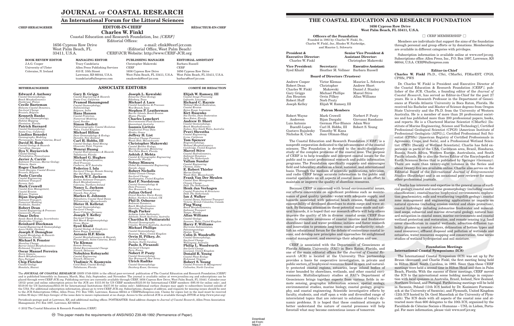# **THE COASTAL EDUCATION AND RESEARCH FOUNDATION**

**1656 Cypress Row Drive**

**West Palm Beach, FL 33411, U.S.A.**

**Officers of the Foundation**

Founded in 1983 by: Charles W. Finkl, Sr., Charles W. Finkl, Jnr., Rhodes W. Fairbridge, and Maurice L. Schwartz

| President &<br><b>Executive Director:</b><br>Charles W. Finkl |  | <b>Senior Vice President &amp;</b><br><b>Assistant Director:</b><br>Christopher Makowski |  |
|---------------------------------------------------------------|--|------------------------------------------------------------------------------------------|--|
|                                                               |  |                                                                                          |  |

Syed Khalil

Heather M. Vollmer **Executive Assistant:** Barbara Russell

### **Board of Directors (Trustees)**

|                  |                       | Maurice L. Schwartz |
|------------------|-----------------------|---------------------|
| Andrew Cooper    | Victor Klemas         |                     |
| Robert Dean      | Christopher           | Andrew Short        |
| Charles W. Finkl | Makowski              | Daniel J. Stanley   |
| Gary Griggs      | Michael Phillips      | Marcel Stive        |
| Jim Houston      | Orrin Pilkey          | Allan Williams      |
| Robert Huff      | Norb Psuty            |                     |
| Joseph Kellev    | Elijah W. Ramsey, III |                     |
|                  |                       |                     |

#### **Patron Members**

| Robert Wayne      | Mark Crowell                 | Norbert P. Psuty  |
|-------------------|------------------------------|-------------------|
| Anderson          | Bijan Dargahi                | Giovanni Randazzo |
| Luis Antonio      | German Flor-Blanco Adam Weir |                   |
| Buenfil-Lopez     | Carl H. Hobbs, III           | Robert S. Young   |
| Gustavo Bujalesky | Timothy W. Kana              |                   |
| Nicholas K. Coch  | Joan Oltman-Shay             |                   |

The Coastal Education and Research Foundation *[CERF]* is a nonprofit corporation dedicated to the advancement of the coastal sciences. The Foundation is devoted to the multi-disciplinary study of the complex problems of the coastal zone. The purpose of CERF is to help translate and interpret coastal issues for the public and to assist professional research and public information programs. The Foundation specifically supports and encourages field and laboratory studies on a local, national, and international basis. Through the medium of scientific publications, television, and radio CERF brings accurate information to the public and coastal specialists on all aspects of coastal issues in an effort to maintain or improve the quality of shoreline resources.

Because CERF is concerned with broad environmental issues, our efforts concentrate on significant problems such as maintenance of good quality (potable) water with adequate supply, and hazards associated with potential beach erosion, flooding, and susceptibility of developed shorelines to storm surge and wave attack. By focusing attention on these potential man-made and natural hazards, it is hoped that our research efforts will help others improve the quality of life in diverse coastal areas. CERF thus aims to stimulate awareness of coastal (marine and freshwater shorelines) land and water problems; initiate and foster research and innovation to promote long-term coastal productivity; establish an educational forum for the debate of contentious coastal issues; and develop new principles and approaches for enlightened coastal management, and encourage their adoption and use.

CERF is associated with the Department of Geosciences at Florida Atlantic University (FAU) in Boca Raton, Florida, and one of the main editorial offices for the *Journal of Coastal Research* (JCR) is located at the University. This partnership provides a basis for cooperative investigation, in private and public sectors, of biophysical resources found in open and naturally protected coastal regions, estuaries, large inland bodies of water bounded by shorelines, wetlands, and other coastal environments. Multidisciplinary studies at FAU's Department of Geosciences brings together experts from various fields in remote sensing, geographic information science, spatial ecology, environmental studies, marine biology, coastal geology, geography, and coastal engineering. Scientific investigative efforts by faculty, students, and staff span a wide and diversified range of interrelated topics that are relevant to solutions of today's dynamic problems. It is hoped that these combined attempts to better understand the nature of coastal processes will help forestall what may become contentious issues of tomorrow.

ad n:

#### $\Box$  CERF MEMBERSHIP  $\Box$

Members are individuals that support the aims of the foundation through personal and group efforts or by donations. Memberships are available in different categories with privileges.

Subscription information is available online at www.cerf-jcr.org. Subscriptions office: Allen Press, Inc., P.O. Box 1897, Lawrence, KS 66044, U.S.A. CERF@allenpress.com

#### **Editor-in-Chief**

**Charles W. Finkl** Ph.D., CSci, CMarSci, FIMarEST, CPGS, CPSSc, PWS

Dr. Charles W. Finkl is President and Executive Director of the Coastal Education & Research Foundation *[CERF ]*, publisher of the JCR. Charlie, a founding editor of the *Journal of Coastal Research*, has served as Editor-in-Chief for the past 27 years. He is a Research Professor in the Department of Geosciences at Florida Atlantic University in Boca Raton, Florida. He received his Bachelor and Master of Science degrees from Oregon State University and the Ph.D. from the University of Western Australia. He is a member of more than 20 professional societies and has published more than 200 professional papers, books, and reports. He is a Chartered Marine Scientist (CMarSci) [Institute of Marine Engineering, Science and Technology], Certified Professional Geological Scientist (CPGS) [American Institute of Professional Geologists (AIPG),], Certified Professional Soil Scientist (CPSSc) [American Registry of Certified Professionals in Agronomy, Crops, and Soils], and a Professional Wetland Scientist (PWS) [Society of Wetland Scientists]. Charlie has field experience in parts of the USA, Caribbean area, Brazil, Honduras, Russia, South Africa, Western Europe, Australasia, and South Pacific islands. He is also the Series Editor of the Encyclopedia of Earth Sciences Series that is published by Springer (Germany). There are more than twenty-eight volumes in the Series and about twenty-five are available online. Charlie also serves on the Editorial Board of the *International Journal of Environmental Studies* (Routledge) and is an occasional peer reviewer for many other professional journals.

Charlie has interests and expertise in the general areas of surficial geology, coastal and marine geomorphology (including coastal classification), coastal/marine biophysical environments, exploration geochemistry, soils and weathering (regolith geology), coastal zone management and engineering applications or impacts on natural systems (including erosion control and shore protection), coastal hydrology including submarine freshwater and mineralized seeps, subaerial and marine structural geology, natural hazard mitigation in coastal zones, marine environments and coastal wetland protection and restoration, and remote sensing (*e.g.* land cover classification in coastal wetlands, advection-diffusion turbidity plumes in coastal waters, delineation of bottom types and sand resources), effluent disposal and pollution of wetlands and estuaries, water resources mapping and conservation, time series studies of wetland hydroperiod and soil moisture.

#### **Foundation Meetings International Coastal Symposiums (ICS)**

The International Coastal Symposium (ICS) was set up by Per Bruun (deceased) and Charlie Finkl, the first meeting being held in Hilton Head, South Carolina, in 1993. Since then these CERF meetings were held a second time in Hilton Head and then in Palm Beach, Florida. With the success of these meetings, CERF moved the ICS to the international scene holding meetings in conjunction with local sponsors in Australia, Brazil, Iceland, New Zealand, Northern Ireland, and Portugal. Forthcoming meetings will be held in Szczecin, Poland (11th ICS hosted by Dr. Kazimierz Furmanczyk at the University of Szczecin), and Plymouth, United Kingdom (12th ICS hosted by Dr. Gerd Masselink at the University of Plymouth). The ICS deals with all aspects of the coastal zone and attracted more than 600 delegates to the 10th ICS, organized by the Faculdade de Ciências Sociais e Humanas – UNL in Lisbon, Portugal. For more information, please visit www.cerf-jcr.org